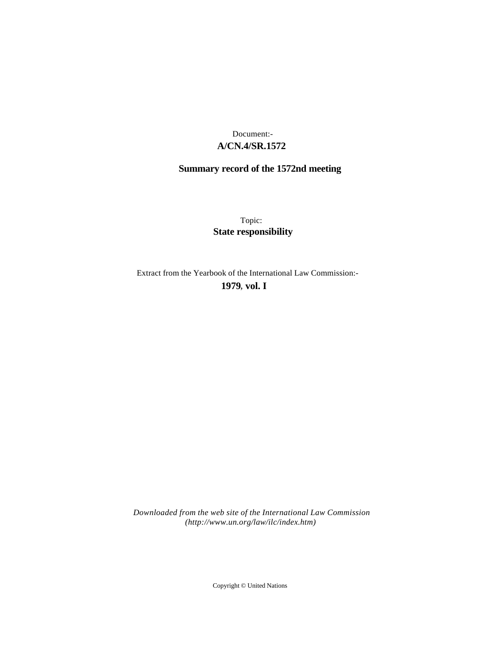# **A/CN.4/SR.1572** Document:-

# **Summary record of the 1572nd meeting**

Topic: **State responsibility**

Extract from the Yearbook of the International Law Commission:-

**1979** , **vol. I**

*Downloaded from the web site of the International Law Commission (http://www.un.org/law/ilc/index.htm)*

Copyright © United Nations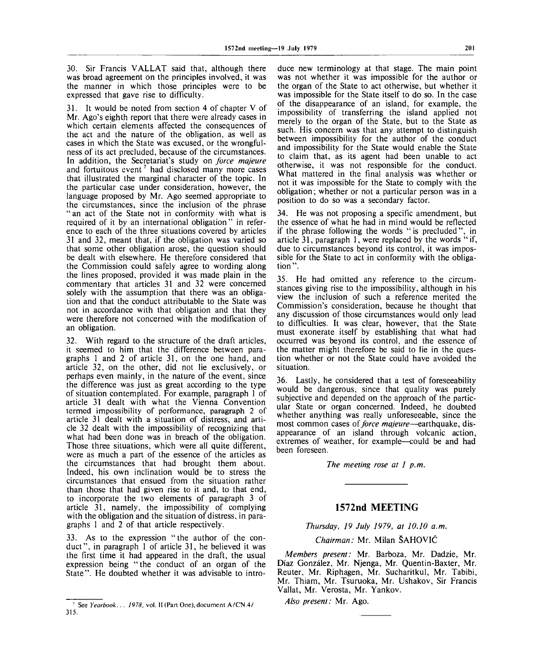30. Sir Francis VALLAT said that, although there was broad agreement on the principles involved, it was the manner in which those principles were to be expressed that gave rise to difficulty.

31. It would be noted from section 4 of chapter V of Mr. Ago's eighth report that there were already cases in which certain elements affected the consequences of the act and the nature of the obligation, as well as cases in which the State was excused, or the wrongfulness of its act precluded, because of the circumstances. In addition, the Secretariat's study on *force majeure* and fortuitous event<sup>7</sup> had disclosed many more cases that illustrated the marginal character of the topic. In the particular case under consideration, however, the language proposed by Mr. Ago seemed appropriate to the circumstances, since the inclusion of the phrase " an act of the State not in conformity with what is required of it by an international obligation" in reference to each of the three situations covered by articles 31 and 32, meant that, if the obligation was varied so that some other obligation arose, the question should be dealt with elsewhere. He therefore considered that the Commission could safely agree to wording along the lines proposed, provided it was made plain in the commentary that articles 31 and 32 were concerned solely with the assumption that there was an obligation and that the conduct attributable to the State was not in accordance with that obligation and that they were therefore not concerned with the modification of an obligation.

32. With regard to the structure of the draft articles, it seemed to him that the difference between paragraphs 1 and 2 of article 31, on the one hand, and article 32, on the other, did not lie exclusively, or perhaps even mainly, in the nature of the event, since the difference was just as great according to the type of situation contemplated. For example, paragraph 1 of article 31 dealt with what the Vienna Convention termed impossibility of performance, paragraph 2 of article 31 dealt with a situation of distress, and article 32 dealt with the impossibility of recognizing that what had been done was in breach of the obligation. Those three situations, which were all quite different, were as much a part of the essence of the articles as the circumstances that had brought them about. Indeed, his own inclination would be to stress the circumstances that ensued from the situation rather than those that had given rise to it and, to that end, to incorporate the two elements of paragraph 3 of article 31, namely, the impossibility of complying with the obligation and the situation of distress, in paragraphs 1 and 2 of that article respectively.

33. As to the expression "the author of the conduct", in paragraph 1 of article 31, he believed it was the first time it had appeared in the draft, the usual expression being "the conduct of an organ of the State". He doubted whether it was advisable to intro-

duce new terminology at that stage. The main point was not whether it was impossible for the author or the organ of the State to act otherwise, but whether it was impossible for the State itself to do so. In the case of the disappearance of an island, for example, the impossibility of transferring the island applied not merely to the organ of the State, but to the State as such. His concern was that any attempt to distinguish between impossibility for the author of the conduct and impossibility for the State would enable the State to claim that, as its agent had been unable to act otherwise, it was not responsible for the conduct. What mattered in the final analysis was whether or not it was impossible for the State to comply with the obligation; whether or not a particular person was in a position to do so was a secondary factor.

34. He was not proposing a specific amendment, but the essence of what he had in mind would be reflected if the phrase following the words "is precluded", in article 31, paragraph 1, were replaced by the words "if, due to circumstances beyond its control, it was impossible for the State to act in conformity with the obligation".

35. He had omitted any reference to the circumstances giving rise to the impossibility, although in his view the inclusion of such a reference merited the Commission's consideration, because he thought that any discussion of those circumstances would only lead to difficulties. It was clear, however, that the State must exonerate itself by establishing that what had occurred was beyond its control, and the essence of the matter might therefore be said to lie in the question whether or not the State could have avoided the situation.

36. Lastly, he considered that a test of foreseeability would be dangerous, since that quality was purely subjective and depended on the approach of the particular State or organ concerned. Indeed, he doubted whether anything was really unforeseeable, since the most common cases *of force majeure*—earthquake, disappearance of an island through volcanic action, extremes of weather, for example—could be and had been foreseen.

*The meeting rose at 1 p.m.*

## **1572nd MEETING**

#### *Thursday, 19 July 1979, at 10.10 a.m.*

*Chairman:* Mr. Milan SAHOVIC

*Members present:* Mr. Barboza, Mr. Dadzie, Mr. Diaz Gonzalez, Mr. Njenga, Mr. Quentin-Baxter, Mr. Reuter, Mr. Riphagen, Mr. Sucharitkul, Mr. Tabibi, Mr. Thiam, Mr. Tsuruoka, Mr. Ushakov, Sir Francis Vallat, Mr. Verosta, Mr. Yankov.

*Also present:* Mr. Ago.

See *Yearbook. .* . *1978,* vol. II (Part One), document A/CN.4/ 315.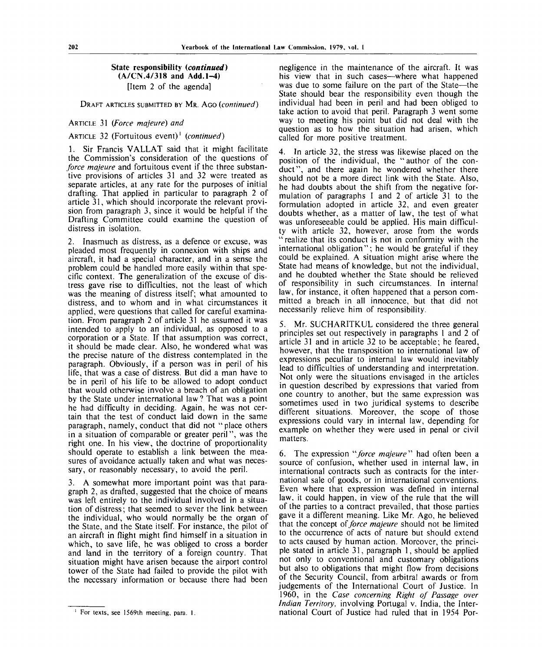### **State responsibility** *(continued)* **(A/CN.4/318 and Add.1-4)** [Item 2 of the agenda]

DRAFT ARTICLES SUBMITTED BY MR. AGO *(continued)*

#### ARTICLE 31 *(Force majeure) and*

# ARTICLE 32 (Fortuitous event)<sup>1</sup> (continued)

1. Sir Francis VALLAT said that it might facilitate the Commission's consideration of the questions of *force majeure* and fortuitous event if the three substantive provisions of articles 31 and 32 were treated as separate articles, at any rate for the purposes of initial drafting. That applied in particular to paragraph 2 of article 31, which should incorporate the relevant provision from paragraph 3, since it would be helpful if the Drafting Committee could examine the question of distress in isolation.

2. Inasmuch as distress, as a defence or excuse, was pleaded most frequently in connexion with ships and aircraft, it had a special character, and in a sense the problem could be handled more easily within that specific context. The generalization of the excuse of distress gave rise to difficulties, not the least of which was the meaning of distress itself; what amounted to distress, and to whom and in what circumstances it applied, were questions that called for careful examination. From paragraph 2 of article 31 he assumed it was intended to apply to an individual, as opposed to a corporation or a State. If that assumption was correct, it should be made clear. Also, he wondered what was the precise nature of the distress contemplated in the paragraph. Obviously, if a person was in peril of his life, that was a case of distress. But did a man have to be in peril of his life to be allowed to adopt conduct that would otherwise involve a breach of an obligation by the State under international law ? That was a point he had difficulty in deciding. Again, he was not certain that the test of conduct laid down in the same paragraph, namely, conduct that did not "place others in a situation of comparable or greater peril", was the right one. In his view, the doctrine of proportionality should operate to establish a link between the measures of avoidance actually taken and what was necessary, or reasonably necessary, to avoid the peril.

3. A somewhat more important point was that paragraph 2, as drafted, suggested that the choice of means was left entirely to the individual involved in a situation of distress; that seemed to sever the link between the individual, who would normally be the organ of the State, and the State itself. For instance, the pilot of an aircraft in flight might find himself in a situation in which, to save life, he was obliged to cross a border and land in the territory of a foreign country. That situation might have arisen because the airport control tower of the State had failed to provide the pilot with the necessary information or because there had been

negligence in the maintenance of the aircraft. It was his view that in such cases—where what happened was due to some failure on the part of the State—the State should bear the responsibility even though the individual had been in peril and had been obliged to take action to avoid that peril. Paragraph 3 went some way to meeting his point but did not deal with the question as to how the situation had arisen, which called for more positive treatment.

4. In article 32, the stress was likewise placed on the position of the individual, the "author of the conduct", and there again he wondered whether there should not be a more direct link with the State. Also, he had doubts about the shift from the negative formulation of paragraphs 1 and 2 of article 31 to the formulation adopted in article 32, and even greater doubts whether, as a matter of law, the test of what was unforeseeable could be applied. His main difficulty with article 32, however, arose from the words " realize that its conduct is not in conformity with the international obligation"; he would be grateful if they could be explained. A situation might arise where the State had means of knowledge, but not the individual, and he doubted whether the State should be relieved of responsibility in such circumstances. In internal law, for instance, it often happened that a person committed a breach in all innocence, but that did not necessarily relieve him of responsibility.

5. Mr. SUCHARITKUL considered the three general principles set out respectively in paragraphs 1 and 2 of article 31 and in article 32 to be acceptable; he feared, however, that the transposition to international law of expressions peculiar to internal law would inevitably lead to difficulties of understanding and interpretation. Not only were the situations envisaged in the articles in question described by expressions that varied from one country to another, but the same expression was sometimes used in two juridical systems to describe different situations. Moreover, the scope of those expressions could vary in internal law, depending for example on whether they were used in penal or civil matters.

6. The expression *"force majeure"* had often been a source of confusion, whether used in internal law, in international contracts such as contracts for the international sale of goods, or in international conventions. Even where that expression was defined in internal law. it could happen, in view of the rule that the will of the parties to a contract prevailed, that those parties gave it a different meaning. Like Mr. Ago, he believed that the concept *of force majeure* should not be limited to the occurrence of acts of nature but should extend to acts caused by human action. Moreover, the principle stated in article 31, paragraph 1, should be applied not only to conventional and customary obligations but also to obligations that might flow from decisions of the Security Council, from arbitral awards or from judgements of the International Court of Justice. In 1960, in the *Case concerning Right of Passage over Indian Territory,* involving Portugal v. India, the International Court of Justice had ruled that in 1954 Por-

<sup>&</sup>lt;sup>1</sup> For texts, see 1569th meeting, para. 1.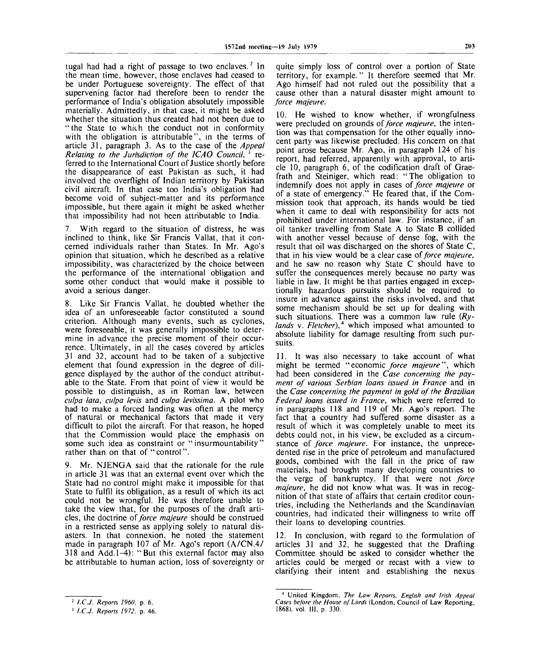tugal had had a right of passage to two enclaves.<sup>2</sup> In the mean time, however, those enclaves had ceased to be under Portuguese sovereignty. The effect of that supervening factor had therefore been to render the performance of India's obligation absolutely impossible materially. Admittedly, in that case, it might be asked whether the situation thus created had not been due to "the State to which the conduct not in conformity with the obligation is attributable", in the terms of article 31, paragraph 3. As to the case of the *Appeal Relating to the Jurisdiction of the ICAO Council*, <sup>3</sup> referred to the International Court of Justice shortly before the disappearance of east Pakistan as such, it had involved the overflight of Indian territory by Pakistan civil aircraft. In that case too India's obligation had become void of subject-matter and its performance impossible, but there again it might be asked whether that impossibility had not been attributable to India.

7. With regard to the situation of distress, he was inclined to think, like Sir Francis Vallat, that it concerned individuals rather than States. In Mr. Ago's opinion that situation, which he described as a relative impossibility, was characterized by the choice between the performance of the international obligation and some other conduct that would make it possible to avoid a serious danger.

8. Like Sir Francis Vallat, he doubted whether the idea of an unforeseeable factor constituted a sound criterion. Although many events, such as cyclones, were foreseeable, it was generally impossible to determine in advance the precise moment of their occurrence. Ultimately, in all the cases covered by articles 31 and 32, account had to be taken of a subjective element that found expression in the degree of diligence displayed by the author of the conduct attributable to the State. From that point of view it would be possible to distinguish, as in Roman law, between *culpa lata, culpa levis* and *culpa levissima.* A pilot who had to make a forced landing was often at the mercy of natural or mechanical factors that made it very difficult to pilot the aircraft. For that reason, he hoped that the Commission would place the emphasis on some such idea as constraint or "insurmountability" rather than on that of "control".

9. Mr. NJENGA said that the rationale for the rule in article 31 was that an external event over which the State had no control might make it impossible for that State to fulfil its obligation, as a result of which its act could not be wrongful. He was therefore unable to take the view that, for the purposes of the draft articles, the doctrine *of force majeure* should be construed in a restricted sense as applying solely to natural disasters. In that connexion, he noted the statement made in paragraph 107 of Mr. Ago's report (A/CN.4/ 318 and Add. 1-4): "But this external factor may also be attributable to human action, loss of sovereignty or

10. He wished to know whether, if wrongfulness were precluded on grounds of *force majeure,* the intention was that compensation for the other equally innocent party was likewise precluded. His concern on that point arose because Mr. Ago, in paragraph 124 of his report, had referred, apparently with approval, to article 10, paragraph 6, of the codification draft of Graefrath and Steiniger, which read: "The obligation to indemnify does not apply in cases of *force majeure* or of a state of emergency." He feared that, if the Commission took that approach, its hands would be tied when it came to deal with responsibility for acts not prohibited under international law. For instance, if an oil tanker travelling from State A to State B collided with another vessel because of dense fog, with the result that oil was discharged on the shores of State C, that in his view would be a clear case *of force majeure,* and he saw no reason why State C should have to suffer the consequences merely because no party was liable in law. It might be that parties engaged in exceptionally hazardous pursuits should be required to insure in advance against the risks involved, and that some mechanism should be set up for dealing with such situations. There was a common law rule *(Rylands* v. *Fletcher),<sup>4</sup>* which imposed what amounted to absolute liability for damage resulting from such pursuits.

11. It was also necessary to take account of what might be termed "economic *force majeure",* which had been considered in the *Case concerning the payment of various Serbian loans issued in France* and in the *Case concerning the payment in gold of the Brazilian Federal loans issued in France,* which were referred to in paragraphs 118 and 119 of Mr. Ago's report. The fact that a country had suffered some disaster as a result of which it was completely unable to meet its debts could not, in his view, be excluded as a circumstance of *force majeure.* For instance, the unprecedented rise in the price of petroleum and manufactured goods, combined with the fall in the price of raw materials, had brought many developing countries to the verge of bankruptcy. If that were not *force majeure,* he did not know what was. It was in recognition of that state of affairs that certain creditor countries, including the Netherlands and the Scandinavian countries, had indicated their willingness to write off their loans to developing countries.

12. In conclusion, with regard to the formulation of articles 31 and 32, he suggested that the Drafting Committee should be asked to consider whether the articles could be merged or recast with a view to clarifying their intent and establishing the nexus

quite simply loss of control over a portion of State territory, for example." It therefore seemed that Mr. Ago himself had not ruled out the possibility that a cause other than a natural disaster might amount to *force majeure.*

<sup>2</sup>  *I.C.J. Reports I960,* p. 6.

<sup>3</sup>  *I.C.J. Reports 1972,* **p. 46.**

<sup>4</sup>  **United Kingdom,** *The Law Reports, English and Irish Appeal Cases before the House of Lords* **(London, Council of Law Reporting,** 1868), vol. Ill, p. 330.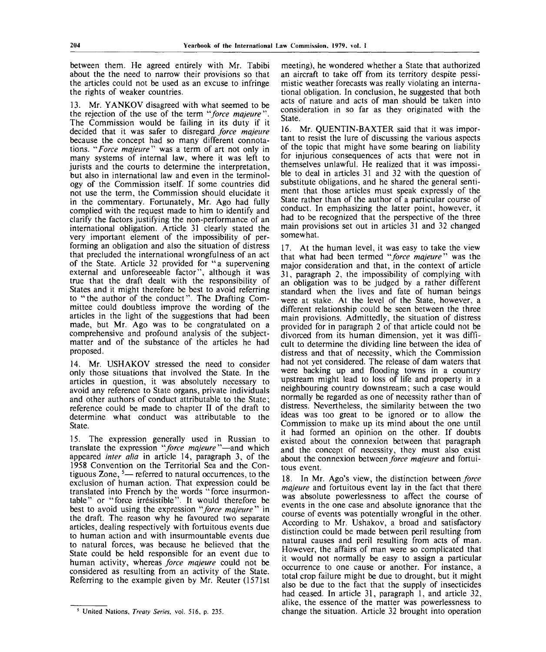between them. He agreed entirely with Mr. Tabibi about the the need to narrow their provisions so that the articles could not be used as an excuse to infringe the rights of weaker countries.

13. Mr. YANKOV disagreed with what seemed to be the rejection of the use of the term *"force majeure".* The Commission would be failing in its duty if it decided that it was safer to disregard *force majeure* because the concept had so many different connotations. *"Force majeure*" was a term of art not only in many systems of internal law, where it was left to jurists and the courts to determine the interpretation, but also in international law and even in the terminology of the Commission itself. If some countries did not use the term, the Commission should elucidate it in the commentary. Fortunately, Mr. Ago had fully complied with the request made to him to identify and clarify the factors justifying the non-performance of an international obligation. Article 31 clearly stated the very important element of the impossibility of performing an obligation and also the situation of distress that precluded the international wrongfulness of an act of the State. Article 32 provided for "a supervening external and unforeseeable factor", although it was true that the draft dealt with the responsibility of States and it might therefore be best to avoid referring to "the author of the conduct". The Drafting Committee could doubtless improve the wording of the articles in the light of the suggestions that had been made, but Mr. Ago was to be congratulated on a comprehensive and profound analysis of the subjectmatter and of the substance of the articles he had proposed.

14. Mr. USHAKOV stressed the need to consider only those situations that involved the State. In the articles in question, it was absolutely necessary to avoid any reference to State organs, private individuals and other authors of conduct attributable to the State; reference could be made to chapter II of the draft to determine what conduct was attributable to the State.

15. The expression generally used in Russian to translate the expression *"force majeure'"*—and which appeared *inter alia* in article 14, paragraph 3, of the 1958 Convention on the Territorial Sea and the Contiguous Zone,  $5$ — referred to natural occurrences, to the exclusion of human action. That expression could be translated into French by the words "force insurmontable" or "force irresistible". It would therefore be best to avoid using the expression *"force majeure''''* in the draft. The reason why he favoured two separate articles, dealing respectively with fortuitous events due to human action and with insurmountable events due to natural forces, was because he believed that the State could be held responsible for an event due to human activity, whereas *force majeure* could not be considered as resulting from an activity of the State. Referring to the example given by Mr. Reuter (1571st meeting), he wondered whether a State that authorized an aircraft to take off from its territory despite pessimistic weather forecasts was really violating an international obligation. In conclusion, he suggested that both acts of nature and acts of man should be taken into consideration in so far as they originated with the State.

16. Mr. QUENTIN-BAXTER said that it was important to resist the lure of discussing the various aspects of the topic that might have some bearing on liability for injurious consequences of acts that were not in themselves unlawful. He realized that it was impossible to deal in articles 31 and 32 with the question of substitute obligations, and he shared the general sentiment that those articles must speak expressly of the State rather than of the author of a particular course of conduct. In emphasizing the latter point, however, it had to be recognized that the perspective of the three main provisions set out in articles 31 and 32 changed somewhat.

17. At the human level, it was easy to take the view that what had been termed *"force majeure"* was the major consideration and that, in the context of article 31, paragraph 2, the impossibility of complying with an obligation was to be judged by a rather different standard when the lives and fate of human beings were at stake. At the level of the State, however, a different relationship could be seen between the three main provisions. Admittedly, the situation of distress provided for in paragraph 2 of that article could not be divorced from its human dimension, yet it was difficult to determine the dividing line between the idea of distress and that of necessity, which the Commission had not yet considered. The release of dam waters that were backing up and flooding towns in a country upstream might lead to loss of life and property in a neighbouring country downstream; such a case would normally be regarded as one of necessity rather than of distress. Nevertheless, the similarity between the two ideas was too great to be ignored or to allow the Commission to make up its mind about the one until it had formed an opinion on the other. If doubts existed about the connexion between that paragraph and the concept of necessity, they must also exist about the connexion between *force majeure* and fortuitous event.

18. In Mr. Ago's view, the distinction between *force majeure* and fortuitous event lay in the fact that there was absolute powerlessness to affect the course of events in the one case and absolute ignorance that the course of events was potentially wrongful in the other. According to Mr. Ushakov, a broad and satisfactory distinction could be made between peril resulting from natural causes and peril resulting from acts of man. However, the affairs of man. were so complicated that it would not normally be easy to assign a particular occurrence to one cause or another. For instance, a total crop failure might be due to drought, but it might also be due to the fact that the supply of insecticides had ceased. In article 31, paragraph 1, and article 32, alike, the essence of the matter was powerlessness to change the situation. Article 32 brought into operation

United Nations, *Treaty Series,* vol. 516, p. 235.